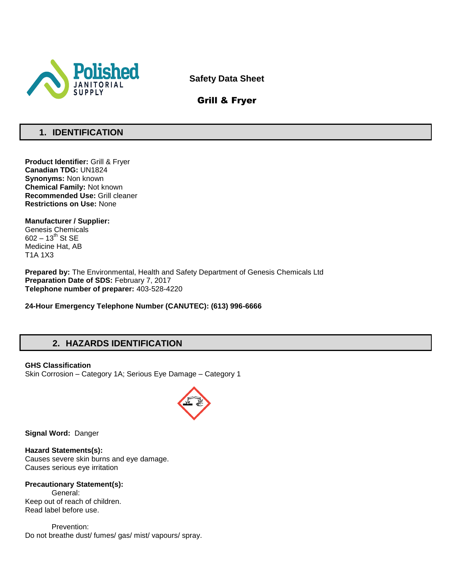

**Safety Data Sheet**

## Grill & Fryer

## **1. IDENTIFICATION**

**Product Identifier:** Grill & Fryer **Canadian TDG:** UN1824 **Synonyms:** Non known **Chemical Family:** Not known **Recommended Use:** Grill cleaner **Restrictions on Use:** None

**Manufacturer / Supplier:** Genesis Chemicals  $602 - 13^{th}$  St SE Medicine Hat, AB T1A 1X3

**Prepared by:** The Environmental, Health and Safety Department of Genesis Chemicals Ltd **Preparation Date of SDS:** February 7, 2017 **Telephone number of preparer:** 403-528-4220

**24-Hour Emergency Telephone Number (CANUTEC): (613) 996-6666**

## **2. HAZARDS IDENTIFICATION**

**GHS Classification** Skin Corrosion – Category 1A; Serious Eye Damage – Category 1



**Signal Word:** Danger

**Hazard Statements(s):** Causes severe skin burns and eye damage. Causes serious eye irritation

#### **Precautionary Statement(s):**

General: Keep out of reach of children. Read label before use.

Prevention: Do not breathe dust/ fumes/ gas/ mist/ vapours/ spray.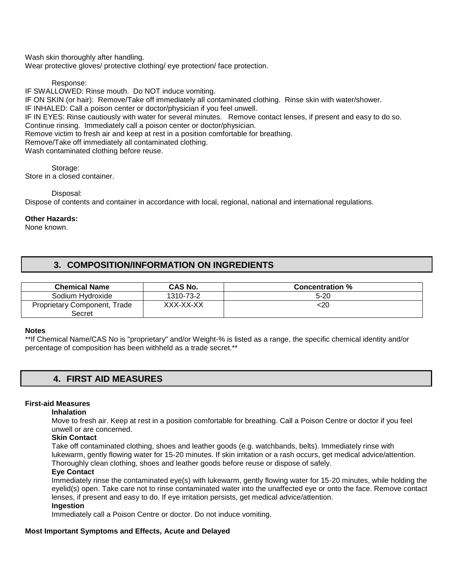Wash skin thoroughly after handling.

Wear protective gloves/ protective clothing/ eye protection/ face protection.

Response:

IF SWALLOWED: Rinse mouth. Do NOT induce vomiting. IF ON SKIN (or hair): Remove/Take off immediately all contaminated clothing. Rinse skin with water/shower. IF INHALED: Call a poison center or doctor/physician if you feel unwell. IF IN EYES: Rinse cautiously with water for several minutes. Remove contact lenses, if present and easy to do so. Continue rinsing. Immediately call a poison center or doctor/physician. Remove victim to fresh air and keep at rest in a position comfortable for breathing. Remove/Take off immediately all contaminated clothing. Wash contaminated clothing before reuse.

Storage: Store in a closed container.

Disposal:

Dispose of contents and container in accordance with local, regional, national and international regulations.

#### **Other Hazards:**

None known.

### **3. COMPOSITION/INFORMATION ON INGREDIENTS**

| <b>Chemical Name</b>                               | CAS No.   | <b>Concentration %</b> |
|----------------------------------------------------|-----------|------------------------|
| Sodium Hydroxide                                   | 1310-73-2 | 5-20                   |
| <b>Proprietary Component, T</b><br>Trade<br>Secret | XXX-XX-XX | <20                    |

#### **Notes**

\*\*If Chemical Name/CAS No is "proprietary" and/or Weight-% is listed as a range, the specific chemical identity and/or percentage of composition has been withheld as a trade secret.\*\*

### **4. FIRST AID MEASURES**

#### **First-aid Measures**

#### **Inhalation**

Move to fresh air. Keep at rest in a position comfortable for breathing. Call a Poison Centre or doctor if you feel unwell or are concerned.

#### **Skin Contact**

Take off contaminated clothing, shoes and leather goods (e.g. watchbands, belts). Immediately rinse with lukewarm, gently flowing water for 15-20 minutes. If skin irritation or a rash occurs, get medical advice/attention. Thoroughly clean clothing, shoes and leather goods before reuse or dispose of safely.

#### **Eye Contact**

Immediately rinse the contaminated eye(s) with lukewarm, gently flowing water for 15-20 minutes, while holding the eyelid(s) open. Take care not to rinse contaminated water into the unaffected eye or onto the face. Remove contact lenses, if present and easy to do. If eye irritation persists, get medical advice/attention. **Ingestion** 

Immediately call a Poison Centre or doctor. Do not induce vomiting.

#### **Most Important Symptoms and Effects, Acute and Delayed**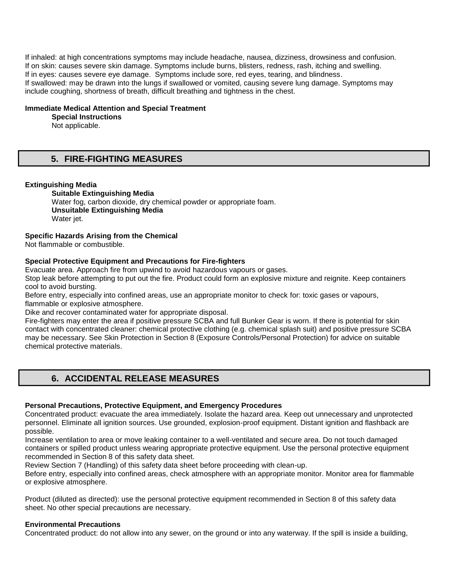If inhaled: at high concentrations symptoms may include headache, nausea, dizziness, drowsiness and confusion. If on skin: causes severe skin damage. Symptoms include burns, blisters, redness, rash, itching and swelling. If in eyes: causes severe eye damage. Symptoms include sore, red eyes, tearing, and blindness. If swallowed: may be drawn into the lungs if swallowed or vomited, causing severe lung damage. Symptoms may include coughing, shortness of breath, difficult breathing and tightness in the chest.

#### **Immediate Medical Attention and Special Treatment**

#### **Special Instructions**

Not applicable.

### **5. FIRE-FIGHTING MEASURES**

#### **Extinguishing Media**

**Suitable Extinguishing Media** Water fog, carbon dioxide, dry chemical powder or appropriate foam. **Unsuitable Extinguishing Media**  Water jet.

#### **Specific Hazards Arising from the Chemical**

Not flammable or combustible.

#### **Special Protective Equipment and Precautions for Fire-fighters**

Evacuate area. Approach fire from upwind to avoid hazardous vapours or gases.

Stop leak before attempting to put out the fire. Product could form an explosive mixture and reignite. Keep containers cool to avoid bursting.

Before entry, especially into confined areas, use an appropriate monitor to check for: toxic gases or vapours, flammable or explosive atmosphere.

Dike and recover contaminated water for appropriate disposal.

Fire-fighters may enter the area if positive pressure SCBA and full Bunker Gear is worn. If there is potential for skin contact with concentrated cleaner: chemical protective clothing (e.g. chemical splash suit) and positive pressure SCBA may be necessary. See Skin Protection in Section 8 (Exposure Controls/Personal Protection) for advice on suitable chemical protective materials.

### **6. ACCIDENTAL RELEASE MEASURES**

#### **Personal Precautions, Protective Equipment, and Emergency Procedures**

Concentrated product: evacuate the area immediately. Isolate the hazard area. Keep out unnecessary and unprotected personnel. Eliminate all ignition sources. Use grounded, explosion-proof equipment. Distant ignition and flashback are possible.

Increase ventilation to area or move leaking container to a well-ventilated and secure area. Do not touch damaged containers or spilled product unless wearing appropriate protective equipment. Use the personal protective equipment recommended in Section 8 of this safety data sheet.

Review Section 7 (Handling) of this safety data sheet before proceeding with clean-up.

Before entry, especially into confined areas, check atmosphere with an appropriate monitor. Monitor area for flammable or explosive atmosphere.

Product (diluted as directed): use the personal protective equipment recommended in Section 8 of this safety data sheet. No other special precautions are necessary.

#### **Environmental Precautions**

Concentrated product: do not allow into any sewer, on the ground or into any waterway. If the spill is inside a building,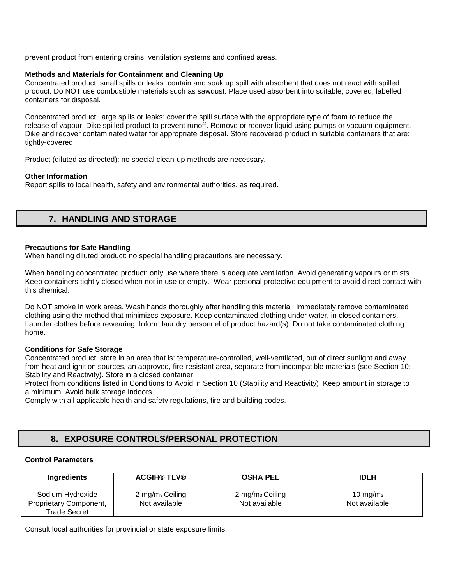prevent product from entering drains, ventilation systems and confined areas.

#### **Methods and Materials for Containment and Cleaning Up**

Concentrated product: small spills or leaks: contain and soak up spill with absorbent that does not react with spilled product. Do NOT use combustible materials such as sawdust. Place used absorbent into suitable, covered, labelled containers for disposal.

Concentrated product: large spills or leaks: cover the spill surface with the appropriate type of foam to reduce the release of vapour. Dike spilled product to prevent runoff. Remove or recover liquid using pumps or vacuum equipment. Dike and recover contaminated water for appropriate disposal. Store recovered product in suitable containers that are: tightly-covered.

Product (diluted as directed): no special clean-up methods are necessary.

#### **Other Information**

Report spills to local health, safety and environmental authorities, as required.

## **7. HANDLING AND STORAGE**

#### **Precautions for Safe Handling**

When handling diluted product: no special handling precautions are necessary.

When handling concentrated product: only use where there is adequate ventilation. Avoid generating vapours or mists. Keep containers tightly closed when not in use or empty. Wear personal protective equipment to avoid direct contact with this chemical.

Do NOT smoke in work areas. Wash hands thoroughly after handling this material. Immediately remove contaminated clothing using the method that minimizes exposure. Keep contaminated clothing under water, in closed containers. Launder clothes before rewearing. Inform laundry personnel of product hazard(s). Do not take contaminated clothing home.

#### **Conditions for Safe Storage**

Concentrated product: store in an area that is: temperature-controlled, well-ventilated, out of direct sunlight and away from heat and ignition sources, an approved, fire-resistant area, separate from incompatible materials (see Section 10: Stability and Reactivity). Store in a closed container.

Protect from conditions listed in Conditions to Avoid in Section 10 (Stability and Reactivity). Keep amount in storage to a minimum. Avoid bulk storage indoors.

Comply with all applicable health and safety regulations, fire and building codes.

## **8. EXPOSURE CONTROLS/PERSONAL PROTECTION**

#### **Control Parameters**

| Ingredients                                   | <b>ACGIH® TLV®</b>            | <b>OSHA PEL</b>               | <b>IDLH</b>         |
|-----------------------------------------------|-------------------------------|-------------------------------|---------------------|
| Sodium Hydroxide                              | $2 \,\mathrm{mg/m}_3$ Ceiling | $2 \,\mathrm{mg/m}_3$ Ceiling | $10 \text{ ma/m}_3$ |
| Proprietary Component,<br><b>Trade Secret</b> | Not available                 | Not available                 | Not available       |

Consult local authorities for provincial or state exposure limits.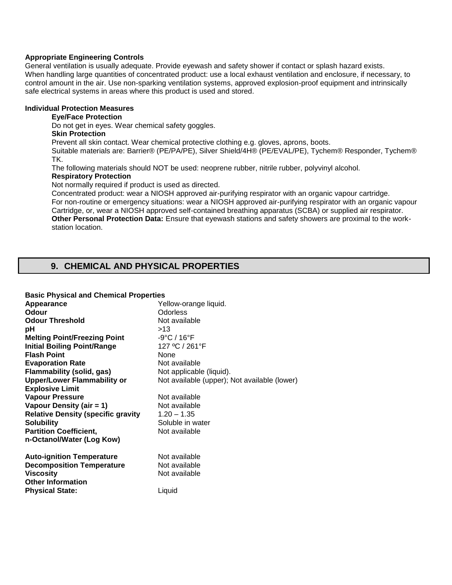#### **Appropriate Engineering Controls**

General ventilation is usually adequate. Provide eyewash and safety shower if contact or splash hazard exists. When handling large quantities of concentrated product: use a local exhaust ventilation and enclosure, if necessary, to control amount in the air. Use non-sparking ventilation systems, approved explosion-proof equipment and intrinsically safe electrical systems in areas where this product is used and stored.

#### **Individual Protection Measures**

#### **Eye/Face Protection**

Do not get in eyes. Wear chemical safety goggles.

## **Skin Protection**

Prevent all skin contact. Wear chemical protective clothing e.g. gloves, aprons, boots.

Suitable materials are: Barrier® (PE/PA/PE), Silver Shield/4H® (PE/EVAL/PE), Tychem® Responder, Tychem® TK.

The following materials should NOT be used: neoprene rubber, nitrile rubber, polyvinyl alcohol.

#### **Respiratory Protection**

Not normally required if product is used as directed.

Concentrated product: wear a NIOSH approved air-purifying respirator with an organic vapour cartridge. For non-routine or emergency situations: wear a NIOSH approved air-purifying respirator with an organic vapour Cartridge, or, wear a NIOSH approved self-contained breathing apparatus (SCBA) or supplied air respirator. **Other Personal Protection Data:** Ensure that eyewash stations and safety showers are proximal to the workstation location.

## **9. CHEMICAL AND PHYSICAL PROPERTIES**

| <b>Basic Physical and Chemical Properties</b> |                                              |  |  |
|-----------------------------------------------|----------------------------------------------|--|--|
| Appearance                                    | Yellow-orange liquid.                        |  |  |
| Odour                                         | <b>Odorless</b>                              |  |  |
| <b>Odour Threshold</b>                        | Not available                                |  |  |
| рH                                            | >13                                          |  |  |
| <b>Melting Point/Freezing Point</b>           | $-9^{\circ}$ C / 16 $^{\circ}$ F             |  |  |
| <b>Initial Boiling Point/Range</b>            | 127 °C / 261°F                               |  |  |
| <b>Flash Point</b>                            | <b>None</b>                                  |  |  |
| <b>Evaporation Rate</b>                       | Not available                                |  |  |
| Flammability (solid, gas)                     | Not applicable (liquid).                     |  |  |
| <b>Upper/Lower Flammability or</b>            | Not available (upper); Not available (lower) |  |  |
| <b>Explosive Limit</b>                        |                                              |  |  |
| <b>Vapour Pressure</b>                        | Not available                                |  |  |
| Vapour Density (air = 1)                      | Not available                                |  |  |
| <b>Relative Density (specific gravity</b>     | $1.20 - 1.35$                                |  |  |
| <b>Solubility</b>                             | Soluble in water                             |  |  |
| <b>Partition Coefficient,</b>                 | Not available                                |  |  |
| n-Octanol/Water (Log Kow)                     |                                              |  |  |
| <b>Auto-ignition Temperature</b>              | Not available                                |  |  |
| <b>Decomposition Temperature</b>              | Not available                                |  |  |
| <b>Viscosity</b>                              | Not available                                |  |  |
| <b>Other Information</b>                      |                                              |  |  |
| <b>Physical State:</b>                        | Liquid                                       |  |  |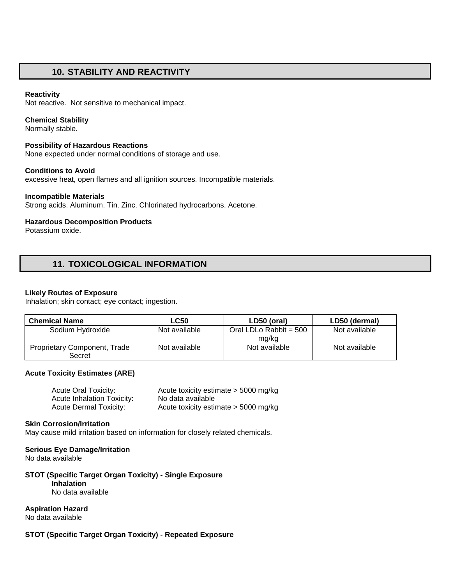### **10. STABILITY AND REACTIVITY**

#### **Reactivity**

Not reactive. Not sensitive to mechanical impact.

#### **Chemical Stability**

Normally stable.

#### **Possibility of Hazardous Reactions**

None expected under normal conditions of storage and use.

#### **Conditions to Avoid**

excessive heat, open flames and all ignition sources. Incompatible materials.

#### **Incompatible Materials**

Strong acids. Aluminum. Tin. Zinc. Chlorinated hydrocarbons. Acetone.

#### **Hazardous Decomposition Products**

Potassium oxide.

## **11. TOXICOLOGICAL INFORMATION**

#### **Likely Routes of Exposure**

Inhalation; skin contact; eye contact; ingestion.

| <b>Chemical Name</b>                          | <b>LC50</b>   | LD50 (oral)                       | LD50 (dermal) |
|-----------------------------------------------|---------------|-----------------------------------|---------------|
| Sodium Hydroxide                              | Not available | Oral LDLo Rabbit = $500$<br>mg/kg | Not available |
| <b>Proprietary Component, Trade</b><br>Secret | Not available | Not available                     | Not available |

#### **Acute Toxicity Estimates (ARE)**

| Acute Oral Toxicity:              | Acute toxicity estimate > 5000 mg/kg   |
|-----------------------------------|----------------------------------------|
| <b>Acute Inhalation Toxicity:</b> | No data available                      |
| Acute Dermal Toxicity:            | Acute toxicity estimate $>$ 5000 mg/kg |

#### **Skin Corrosion/Irritation**

May cause mild irritation based on information for closely related chemicals.

#### **Serious Eye Damage/Irritation**

No data available

#### **STOT (Specific Target Organ Toxicity) - Single Exposure Inhalation**

No data available

#### **Aspiration Hazard**

No data available

#### **STOT (Specific Target Organ Toxicity) - Repeated Exposure**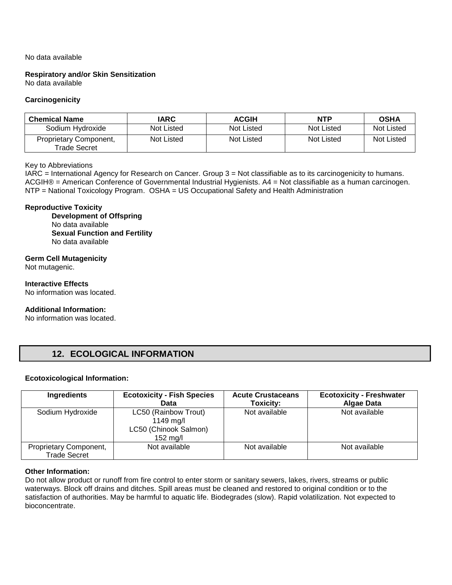#### No data available

**Respiratory and/or Skin Sensitization**  No data available

#### **Carcinogenicity**

| <b>Chemical Name</b>                   | IARC              | <b>ACGIH</b> | <b>NTP</b> | <b>OSHA</b> |
|----------------------------------------|-------------------|--------------|------------|-------------|
| Sodium Hydroxide                       | Not Listed        | Not Listed   | Not Listed | Not Listed  |
| Proprietary Component,<br>Trade Secret | <b>Not Listed</b> | Not Listed   | Not Listed | Not Listed  |

#### Key to Abbreviations

IARC = International Agency for Research on Cancer. Group 3 = Not classifiable as to its carcinogenicity to humans. ACGIH® = American Conference of Governmental Industrial Hygienists. A4 = Not classifiable as a human carcinogen. NTP = National Toxicology Program. OSHA = US Occupational Safety and Health Administration

#### **Reproductive Toxicity**

**Development of Offspring**  No data available **Sexual Function and Fertility**  No data available

#### **Germ Cell Mutagenicity**

Not mutagenic.

**Interactive Effects**  No information was located.

#### **Additional Information:**

No information was located.

### **12. ECOLOGICAL INFORMATION**

#### **Ecotoxicological Information:**

| Ingredients                                   | <b>Ecotoxicity - Fish Species</b><br>Data                              | <b>Acute Crustaceans</b><br>Toxicity: | <b>Ecotoxicity - Freshwater</b><br><b>Algae Data</b> |
|-----------------------------------------------|------------------------------------------------------------------------|---------------------------------------|------------------------------------------------------|
| Sodium Hydroxide                              | LC50 (Rainbow Trout)<br>1149 mg/l<br>LC50 (Chinook Salmon)<br>152 mg/l | Not available                         | Not available                                        |
| Proprietary Component,<br><b>Trade Secret</b> | Not available                                                          | Not available                         | Not available                                        |

#### **Other Information:**

Do not allow product or runoff from fire control to enter storm or sanitary sewers, lakes, rivers, streams or public waterways. Block off drains and ditches. Spill areas must be cleaned and restored to original condition or to the satisfaction of authorities. May be harmful to aquatic life. Biodegrades (slow). Rapid volatilization. Not expected to bioconcentrate.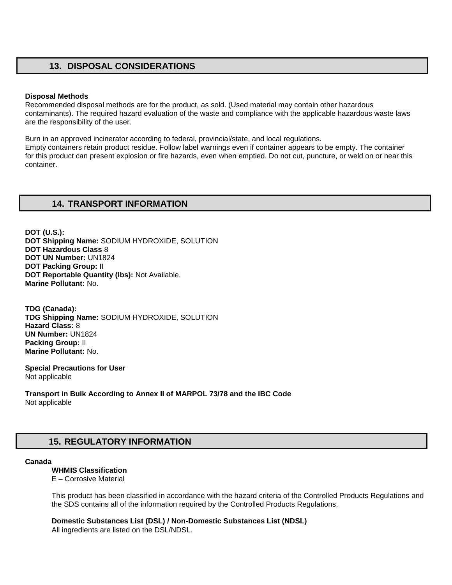### **13. DISPOSAL CONSIDERATIONS**

#### **Disposal Methods**

Recommended disposal methods are for the product, as sold. (Used material may contain other hazardous contaminants). The required hazard evaluation of the waste and compliance with the applicable hazardous waste laws are the responsibility of the user.

Burn in an approved incinerator according to federal, provincial/state, and local regulations. Empty containers retain product residue. Follow label warnings even if container appears to be empty. The container for this product can present explosion or fire hazards, even when emptied. Do not cut, puncture, or weld on or near this container.

### **14. TRANSPORT INFORMATION**

**DOT (U.S.): DOT Shipping Name:** SODIUM HYDROXIDE, SOLUTION **DOT Hazardous Class** 8 **DOT UN Number:** UN1824 **DOT Packing Group:** II **DOT Reportable Quantity (lbs):** Not Available. **Marine Pollutant:** No.

**TDG (Canada): TDG Shipping Name:** SODIUM HYDROXIDE, SOLUTION **Hazard Class:** 8 **UN Number:** UN1824 **Packing Group:** II **Marine Pollutant:** No.

**Special Precautions for User** Not applicable

**Transport in Bulk According to Annex II of MARPOL 73/78 and the IBC Code**  Not applicable

# **15. REGULATORY INFORMATION**

#### **Canada**

#### **WHMIS Classification**

E – Corrosive Material

This product has been classified in accordance with the hazard criteria of the Controlled Products Regulations and the SDS contains all of the information required by the Controlled Products Regulations.

**Domestic Substances List (DSL) / Non-Domestic Substances List (NDSL)** 

All ingredients are listed on the DSL/NDSL.